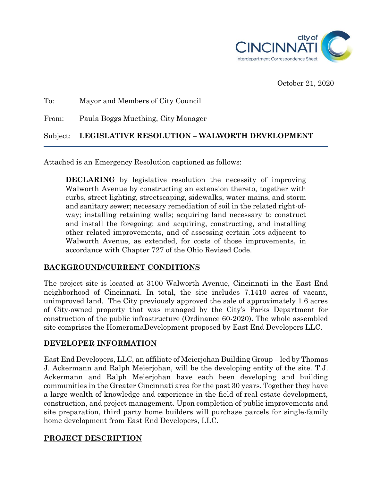

October 21, 2020

# To: Mayor and Members of City Council From: Paula Boggs Muething, City Manager Subject: **LEGISLATIVE RESOLUTION – WALWORTH DEVELOPMENT**

Attached is an Emergency Resolution captioned as follows:

**DECLARING** by legislative resolution the necessity of improving Walworth Avenue by constructing an extension thereto, together with curbs, street lighting, streetscaping, sidewalks, water mains, and storm and sanitary sewer; necessary remediation of soil in the related right-ofway; installing retaining walls; acquiring land necessary to construct and install the foregoing; and acquiring, constructing, and installing other related improvements, and of assessing certain lots adjacent to Walworth Avenue, as extended, for costs of those improvements, in accordance with Chapter 727 of the Ohio Revised Code.

## **BACKGROUND/CURRENT CONDITIONS**

The project site is located at 3100 Walworth Avenue, Cincinnati in the East End neighborhood of Cincinnati. In total, the site includes 7.1410 acres of vacant, unimproved land. The City previously approved the sale of approximately 1.6 acres of City-owned property that was managed by the City's Parks Department for construction of the public infrastructure (Ordinance 60-2020). The whole assembled site comprises the HomeramaDevelopment proposed by East End Developers LLC.

## **DEVELOPER INFORMATION**

East End Developers, LLC, an affiliate of Meierjohan Building Group – led by Thomas J. Ackermann and Ralph Meierjohan, will be the developing entity of the site. T.J. Ackermann and Ralph Meierjohan have each been developing and building communities in the Greater Cincinnati area for the past 30 years. Together they have a large wealth of knowledge and experience in the field of real estate development, construction, and project management. Upon completion of public improvements and site preparation, third party home builders will purchase parcels for single-family home development from East End Developers, LLC.

## **PROJECT DESCRIPTION**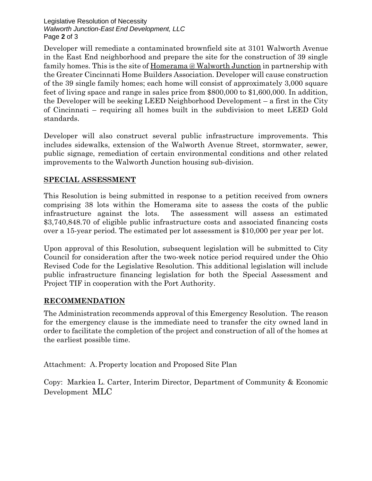Legislative Resolution of Necessity *Walworth Junction-East End Development, LLC* Page **2** of 3

Developer will remediate a contaminated brownfield site at 3101 Walworth Avenue in the East End neighborhood and prepare the site for the construction of 39 single family homes. This is the site of Homerama @ Walworth Junction in partnership with the Greater Cincinnati Home Builders Association. Developer will cause construction of the 39 single family homes; each home will consist of approximately 3,000 square feet of living space and range in sales price from \$800,000 to \$1,600,000. In addition, the Developer will be seeking LEED Neighborhood Development – a first in the City of Cincinnati – requiring all homes built in the subdivision to meet LEED Gold standards.

Developer will also construct several public infrastructure improvements. This includes sidewalks, extension of the Walworth Avenue Street, stormwater, sewer, public signage, remediation of certain environmental conditions and other related improvements to the Walworth Junction housing sub-division.

#### **SPECIAL ASSESSMENT**

This Resolution is being submitted in response to a petition received from owners comprising 38 lots within the Homerama site to assess the costs of the public infrastructure against the lots. The assessment will assess an estimated \$3,740,848.70 of eligible public infrastructure costs and associated financing costs over a 15-year period. The estimated per lot assessment is \$10,000 per year per lot.

Upon approval of this Resolution, subsequent legislation will be submitted to City Council for consideration after the two-week notice period required under the Ohio Revised Code for the Legislative Resolution. This additional legislation will include public infrastructure financing legislation for both the Special Assessment and Project TIF in cooperation with the Port Authority.

#### **RECOMMENDATION**

The Administration recommends approval of this Emergency Resolution. The reason for the emergency clause is the immediate need to transfer the city owned land in order to facilitate the completion of the project and construction of all of the homes at the earliest possible time.

Attachment: A.Property location and Proposed Site Plan

Copy: Markiea L. Carter, Interim Director, Department of Community & Economic Development MLC